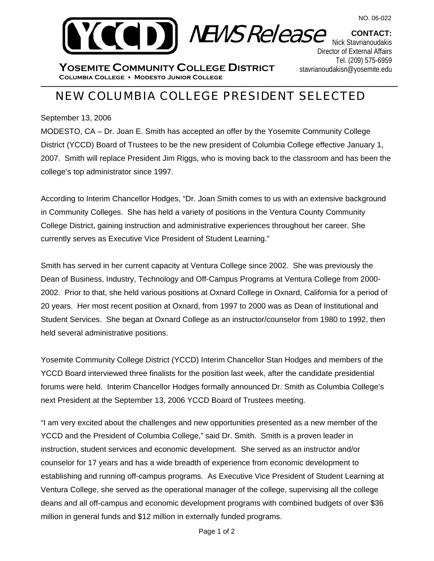



**CONTACT:**  Nick Stavrianoudakis Director of External Affairs Tel. (209) 575-6959 stavrianoudakisn@yosemite.edu

\_\_\_\_\_\_\_\_\_\_\_\_\_\_\_\_\_\_\_\_\_\_\_\_\_\_\_\_\_\_\_\_\_\_\_\_\_\_\_\_\_\_\_\_\_\_\_\_\_\_\_\_\_\_\_\_\_\_\_\_\_\_\_\_\_\_\_\_\_\_\_\_ **Columbia College Modesto Junior College YOSEMITE COMMUNITY COLLEGE DISTRICT**

## NEW COLUMBIA COLLEGE PRESIDENT SELECTED

September 13, 2006

MODESTO, CA – Dr. Joan E. Smith has accepted an offer by the Yosemite Community College District (YCCD) Board of Trustees to be the new president of Columbia College effective January 1, 2007. Smith will replace President Jim Riggs, who is moving back to the classroom and has been the college's top administrator since 1997.

According to Interim Chancellor Hodges, "Dr. Joan Smith comes to us with an extensive background in Community Colleges. She has held a variety of positions in the Ventura County Community College District, gaining instruction and administrative experiences throughout her career. She currently serves as Executive Vice President of Student Learning."

Smith has served in her current capacity at Ventura College since 2002. She was previously the Dean of Business, Industry, Technology and Off-Campus Programs at Ventura College from 2000- 2002. Prior to that, she held various positions at Oxnard College in Oxnard, California for a period of 20 years. Her most recent position at Oxnard, from 1997 to 2000 was as Dean of Institutional and Student Services. She began at Oxnard College as an instructor/counselor from 1980 to 1992, then held several administrative positions.

Yosemite Community College District (YCCD) Interim Chancellor Stan Hodges and members of the YCCD Board interviewed three finalists for the position last week, after the candidate presidential forums were held. Interim Chancellor Hodges formally announced Dr. Smith as Columbia College's next President at the September 13, 2006 YCCD Board of Trustees meeting.

"I am very excited about the challenges and new opportunities presented as a new member of the YCCD and the President of Columbia College," said Dr. Smith. Smith is a proven leader in instruction, student services and economic development. She served as an instructor and/or counselor for 17 years and has a wide breadth of experience from economic development to establishing and running off-campus programs. As Executive Vice President of Student Learning at Ventura College, she served as the operational manager of the college, supervising all the college deans and all off-campus and economic development programs with combined budgets of over \$36 million in general funds and \$12 million in externally funded programs.